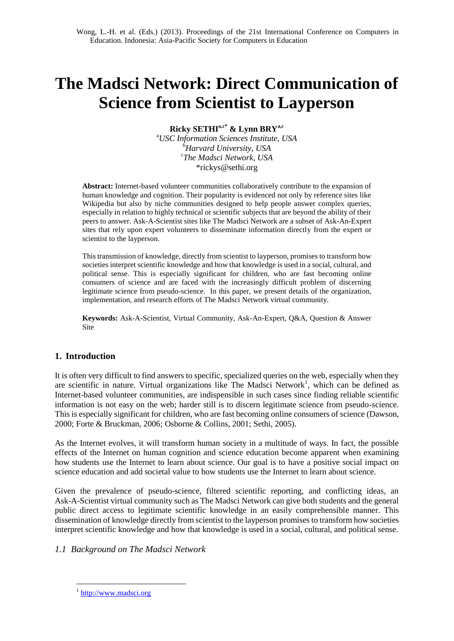# **The Madsci Network: Direct Communication of Science from Scientist to Layperson**

**Ricky SETHIa,c\* & Lynn BRYa,c**

<sup>a</sup>*USC Information Sciences Institute, USA* <sup>b</sup>*Harvard University, USA* c *The Madsci Network, USA* \*rickys@sethi.org

**Abstract:** Internet-based volunteer communities collaboratively contribute to the expansion of human knowledge and cognition. Their popularity is evidenced not only by reference sites like Wikipedia but also by niche communities designed to help people answer complex queries, especially in relation to highly technical or scientific subjects that are beyond the ability of their peers to answer. Ask-A-Scientist sites like The Madsci Network are a subset of Ask-An-Expert sites that rely upon expert volunteers to disseminate information directly from the expert or scientist to the layperson.

This transmission of knowledge, directly from scientist to layperson, promises to transform how societies interpret scientific knowledge and how that knowledge is used in a social, cultural, and political sense. This is especially significant for children, who are fast becoming online consumers of science and are faced with the increasingly difficult problem of discerning legitimate science from pseudo-science. In this paper, we present details of the organization, implementation, and research efforts of The Madsci Network virtual community.

**Keywords:** Ask-A-Scientist, Virtual Community, Ask-An-Expert, Q&A, Question & Answer Site

# **1. Introduction**

It is often very difficult to find answers to specific, specialized queries on the web, especially when they are scientific in nature. Virtual organizations like The Madsci Network<sup>1</sup>, which can be defined as Internet-based volunteer communities, are indispensible in such cases since finding reliable scientific information is not easy on the web; harder still is to discern legitimate science from pseudo-science. This is especially significant for children, who are fast becoming online consumers of science (Dawson, 2000; Forte & Bruckman, 2006; Osborne & Collins, 2001; Sethi, 2005).

As the Internet evolves, it will transform human society in a multitude of ways. In fact, the possible effects of the Internet on human cognition and science education become apparent when examining how students use the Internet to learn about science. Our goal is to have a positive social impact on science education and add societal value to how students use the Internet to learn about science.

Given the prevalence of pseudo-science, filtered scientific reporting, and conflicting ideas, an Ask-A-Scientist virtual community such as The Madsci Network can give both students and the general public direct access to legitimate scientific knowledge in an easily comprehensible manner. This dissemination of knowledge directly from scientist to the layperson promises to transform how societies interpret scientific knowledge and how that knowledge is used in a social, cultural, and political sense.

## *1.1 Background on The Madsci Network*

 $\overline{a}$ 

<sup>&</sup>lt;sup>1</sup> [http://www.madsci.org](http://www.madsci.org/)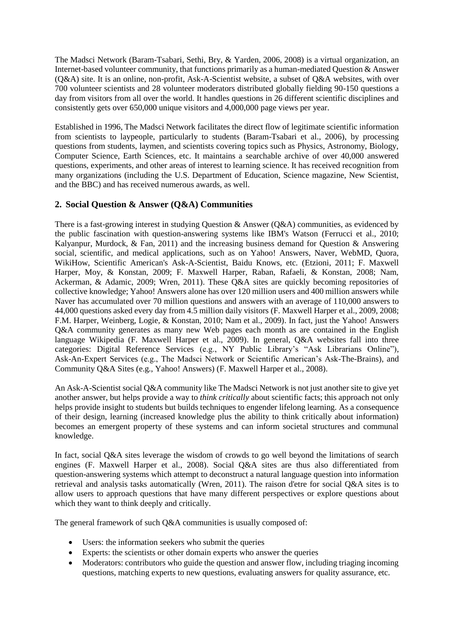The Madsci Network (Baram-Tsabari, Sethi, Bry, & Yarden, 2006, 2008) is a virtual organization, an Internet-based volunteer community, that functions primarily as a human-mediated Question & Answer (Q&A) site. It is an online, non-profit, Ask-A-Scientist website, a subset of Q&A websites, with over 700 volunteer scientists and 28 volunteer moderators distributed globally fielding 90-150 questions a day from visitors from all over the world. It handles questions in 26 different scientific disciplines and consistently gets over 650,000 unique visitors and 4,000,000 page views per year.

Established in 1996, The Madsci Network facilitates the direct flow of legitimate scientific information from scientists to laypeople, particularly to students (Baram-Tsabari et al., 2006), by processing questions from students, laymen, and scientists covering topics such as Physics, Astronomy, Biology, Computer Science, Earth Sciences, etc. It maintains a searchable archive of over 40,000 answered questions, experiments, and other areas of interest to learning science. It has received recognition from many organizations (including the U.S. Department of Education, Science magazine, New Scientist, and the BBC) and has received numerous awards, as well.

# **2. Social Question & Answer (Q&A) Communities**

There is a fast-growing interest in studying Question & Answer (Q&A) communities, as evidenced by the public fascination with question-answering systems like IBM's Watson (Ferrucci et al., 2010; Kalyanpur, Murdock,  $\&$  Fan, 2011) and the increasing business demand for Question  $\&$  Answering social, scientific, and medical applications, such as on Yahoo! Answers, Naver, WebMD, Quora, WikiHow, Scientific American's Ask-A-Scientist, Baidu Knows, etc. (Etzioni, 2011; F. Maxwell Harper, Moy, & Konstan, 2009; F. Maxwell Harper, Raban, Rafaeli, & Konstan, 2008; Nam, Ackerman, & Adamic, 2009; Wren, 2011). These Q&A sites are quickly becoming repositories of collective knowledge; Yahoo! Answers alone has over 120 million users and 400 million answers while Naver has accumulated over 70 million questions and answers with an average of 110,000 answers to 44,000 questions asked every day from 4.5 million daily visitors (F. Maxwell Harper et al., 2009, 2008; F.M. Harper, Weinberg, Logie, & Konstan, 2010; Nam et al., 2009). In fact, just the Yahoo! Answers Q&A community generates as many new Web pages each month as are contained in the English language Wikipedia (F. Maxwell Harper et al., 2009). In general, Q&A websites fall into three categories: Digital Reference Services (e.g., NY Public Library's "Ask Librarians Online"), Ask-An-Expert Services (e.g., The Madsci Network or Scientific American's Ask-The-Brains), and Community Q&A Sites (e.g., Yahoo! Answers) (F. Maxwell Harper et al., 2008).

An Ask-A-Scientist social Q&A community like The Madsci Network is not just another site to give yet another answer, but helps provide a way to *think critically* about scientific facts; this approach not only helps provide insight to students but builds techniques to engender lifelong learning. As a consequence of their design, learning (increased knowledge plus the ability to think critically about information) becomes an emergent property of these systems and can inform societal structures and communal knowledge.

In fact, social Q&A sites leverage the wisdom of crowds to go well beyond the limitations of search engines (F. Maxwell Harper et al., 2008). Social Q&A sites are thus also differentiated from question-answering systems which attempt to deconstruct a natural language question into information retrieval and analysis tasks automatically (Wren, 2011). The raison d'etre for social Q&A sites is to allow users to approach questions that have many different perspectives or explore questions about which they want to think deeply and critically.

The general framework of such Q&A communities is usually composed of:

- Users: the information seekers who submit the queries
- Experts: the scientists or other domain experts who answer the queries
- Moderators: contributors who guide the question and answer flow, including triaging incoming questions, matching experts to new questions, evaluating answers for quality assurance, etc.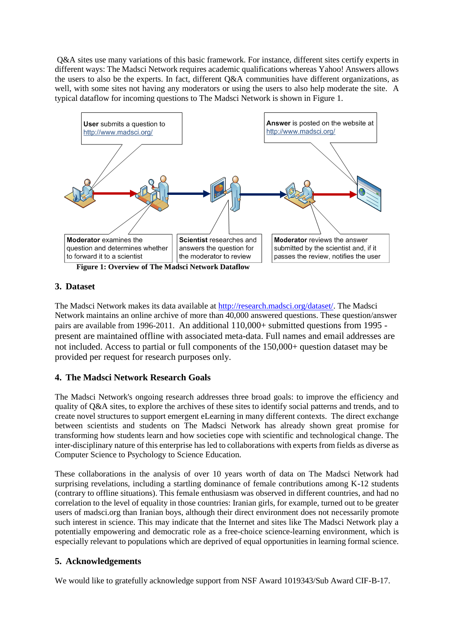Q&A sites use many variations of this basic framework. For instance, different sites certify experts in different ways: The Madsci Network requires academic qualifications whereas Yahoo! Answers allows the users to also be the experts. In fact, different Q&A communities have different organizations, as well, with some sites not having any moderators or using the users to also help moderate the site. A typical dataflow for incoming questions to The Madsci Network is shown in [Figure 1.](#page-2-0)



# <span id="page-2-0"></span>**3. Dataset**

The Madsci Network makes its data available at [http://research.madsci.org/dataset/.](http://research.madsci.org/dataset/) The Madsci Network maintains an online archive of more than 40,000 answered questions. These question/answer pairs are available from 1996-2011. An additional 110,000+ submitted questions from 1995 present are maintained offline with associated meta-data. Full names and email addresses are not included. Access to partial or full components of the 150,000+ question dataset may be provided per request for research purposes only.

# **4. The Madsci Network Research Goals**

The Madsci Network's ongoing research addresses three broad goals: to improve the efficiency and quality of Q&A sites, to explore the archives of these sites to identify social patterns and trends, and to create novel structures to support emergent eLearning in many different contexts. The direct exchange between scientists and students on The Madsci Network has already shown great promise for transforming how students learn and how societies cope with scientific and technological change. The inter-disciplinary nature of this enterprise has led to collaborations with experts from fields as diverse as Computer Science to Psychology to Science Education.

These collaborations in the analysis of over 10 years worth of data on The Madsci Network had surprising revelations, including a startling dominance of female contributions among K-12 students (contrary to offline situations). This female enthusiasm was observed in different countries, and had no correlation to the level of equality in those countries: Iranian girls, for example, turned out to be greater users of madsci.org than Iranian boys, although their direct environment does not necessarily promote such interest in science. This may indicate that the Internet and sites like The Madsci Network play a potentially empowering and democratic role as a free-choice science-learning environment, which is especially relevant to populations which are deprived of equal opportunities in learning formal science.

## **5. Acknowledgements**

We would like to gratefully acknowledge support from NSF Award 1019343/Sub Award CIF-B-17.